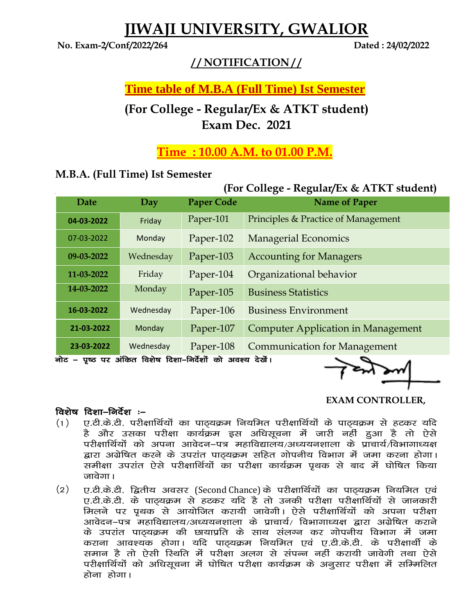# **JIWAJI UNIVERSITY, GWALIOR**

**No. Exam-2/Conf/2022/264 Dated : 24/02/2022**

#### **/ / NOTIFICATION / /**

## **Time table of M.B.A (Full Time) Ist Semester**

## **(For College - Regular/Ex & ATKT student) Exam Dec. 2021**

## **Time : 10.00 A.M. to 01.00 P.M.**

#### **M.B.A. (Full Time) Ist Semester**

## **(For College - Regular/Ex & ATKT student)**

| Date                                                     | Day       | <b>Paper Code</b> | <b>Name of Paper</b>                      |
|----------------------------------------------------------|-----------|-------------------|-------------------------------------------|
| 04-03-2022                                               | Friday    | Paper-101         | Principles & Practice of Management       |
| 07-03-2022                                               | Monday    | Paper-102         | <b>Managerial Economics</b>               |
| 09-03-2022                                               | Wednesday | Paper-103         | <b>Accounting for Managers</b>            |
| 11-03-2022                                               | Friday    | Paper-104         | Organizational behavior                   |
| 14-03-2022                                               | Monday    | Paper-105         | <b>Business Statistics</b>                |
| 16-03-2022                                               | Wednesday | Paper-106         | <b>Business Environment</b>               |
| 21-03-2022                                               | Monday    | Paper-107         | <b>Computer Application in Management</b> |
| 23-03-2022                                               | Wednesday | Paper-108         | <b>Communication for Management</b>       |
| नोट – पष्ठ पर अंकित विशेष दिशा–निर्देशों को अवश्य देखें। |           |                   |                                           |

नोट – पृष्ठ पर अंकित विशेष दिशा–निर्देशों को अवश्य देखें।

 **EXAM CONTROLLER,** 

#### विशेष दिशा $-$ निर्देश $\cdot$ –

- $(1)$  , ए.टी.के.टी. परीक्षार्थियों का पाठ्यक्रम नियमित परीक्षार्थियों के पाठ्यक्रम से हटकर यदि है और उसका परीक्षा कार्यक्रम इस अधिसूचना में जारी नहीं हुआ है तो ऐसे परीक्षार्थियों को अपना आवेदन–पत्र महाविद्यालय/अध्ययनशाला के प्राचार्य/विभागाध्यक्ष द्वारा अग्रेषित करने के उपरांत पाठ्यक्रम सहित गोपनीय विभाग में जमा करना होगा। समीक्षा उपरांत ऐसे परीक्षार्थियों का परीक्षा कार्यक्रम पृथक से बाद में घोषित किया जावेगा ।
- (2) ए.टी.के.टी. द्वितीय अवसर (Second Chance) के परीक्षार्थियों का पाठ्यक्रम नियमित एवं ए.टी.के.टी. के पाठयक्रम से हटकर यदि है तो उनकी परीक्षा परीक्षार्थियों से जानकारी मिलने पर प्रथक से आयोजित करायी जावेगी। ऐसे परीक्षार्थियों को अपना परीक्षा आवेदन–पत्र महाविद्यालय/अध्ययनशाला के प्राचार्य/ विभागाध्यक्ष द्वारा अग्रेषित कराने के उपरांत पाठ्यक्रम की छायाप्रति के साथ संलग्न कर गोपनीय विभाग में जमा कराना आवश्यक होगा। यदि पाठयक्रम नियमित एवं ए.टी.के.टी. के परीक्षार्थी के समान है तो ऐसी रिथति में परीक्षा अलग से संपन्न नहीं करायी जावेगी तथा ऐसे परीक्षार्थियों को अधिसूचना में घोषित परीक्षा कार्यक्रम के अनूसार परीक्षा में सम्मिलित होना होगा।